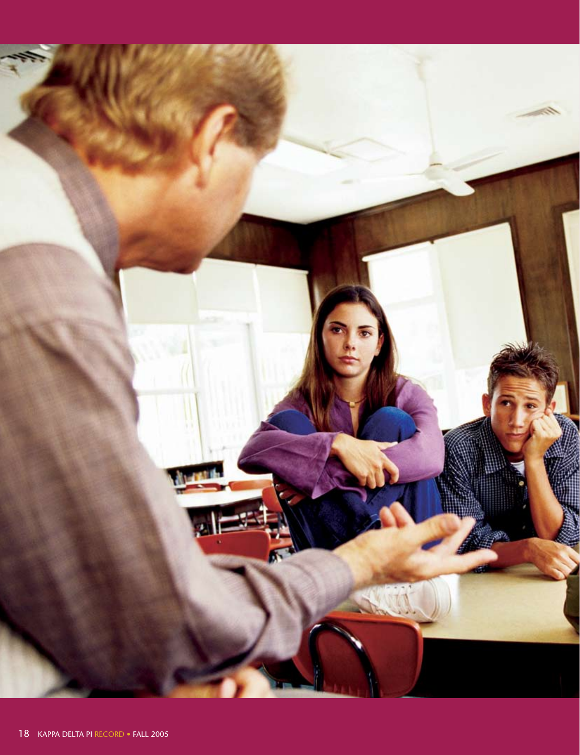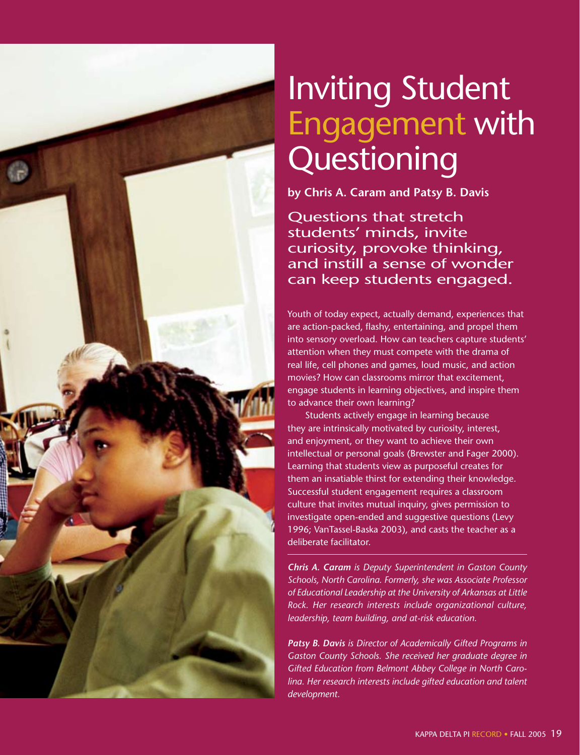

# Engagement with Questioning

**by Chris A. Caram and Patsy B. Davis**

Questions that stretch students' minds, invite curiosity, provoke thinking, and instill a sense of wonder can keep students engaged.

Youth of today expect, actually demand, experiences that are action-packed, flashy, entertaining, and propel them into sensory overload. How can teachers capture students' attention when they must compete with the drama of real life, cell phones and games, loud music, and action movies? How can classrooms mirror that excitement, engage students in learning objectives, and inspire them to advance their own learning?

Students actively engage in learning because they are intrinsically motivated by curiosity, interest, and enjoyment, or they want to achieve their own intellectual or personal goals (Brewster and Fager 2000). Learning that students view as purposeful creates for them an insatiable thirst for extending their knowledge. Successful student engagement requires a classroom culture that invites mutual inquiry, gives permission to investigate open-ended and suggestive questions (Levy 1996; VanTassel-Baska 2003), and casts the teacher as a deliberate facilitator. Inviting Student In Nighty Student Controlline is a series of the properties of the students of minimism. Current in the students of the students of minimism of the students of the students of the students of the students

*Chris A. Caram is Deputy Superintendent in Gaston County Schools, North Carolina. Formerly, she was Associate Professor of Educational Leadership at the University of Arkansas at Little Rock. Her research interests include organizational culture, leadership, team building, and at-risk education.*

*Patsy B. Davis is Director of Academically Gifted Programs in Gaston County Schools. She received her graduate degree in Gifted Education from Belmont Abbey College in North Carolina. Her research interests include gifted education and talent development.*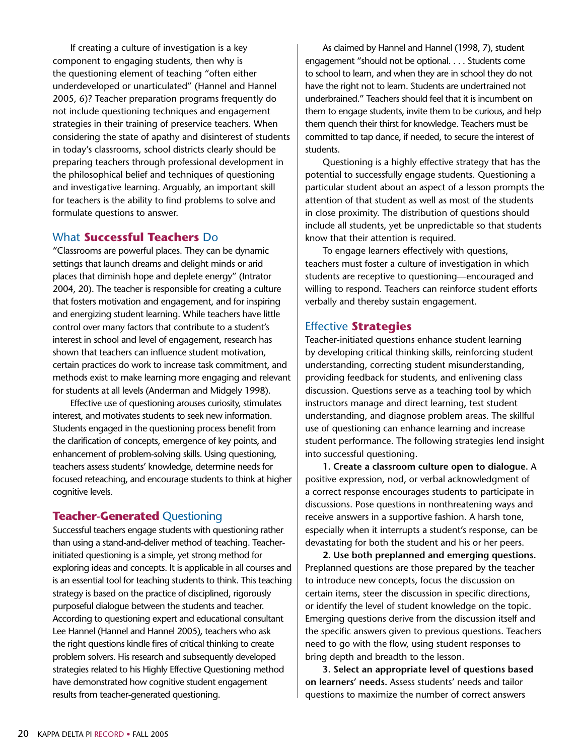If creating a culture of investigation is a key component to engaging students, then why is the questioning element of teaching "often either underdeveloped or unarticulated" (Hannel and Hannel 2005, 6)? Teacher preparation programs frequently do not include questioning techniques and engagement strategies in their training of preservice teachers. When considering the state of apathy and disinterest of students in today's classrooms, school districts clearly should be preparing teachers through professional development in the philosophical belief and techniques of questioning and investigative learning. Arguably, an important skill for teachers is the ability to find problems to solve and formulate questions to answer.

#### What **Successful Teachers** Do

"Classrooms are powerful places. They can be dynamic settings that launch dreams and delight minds or arid places that diminish hope and deplete energy" (Intrator 2004, 20). The teacher is responsible for creating a culture that fosters motivation and engagement, and for inspiring and energizing student learning. While teachers have little control over many factors that contribute to a student's interest in school and level of engagement, research has shown that teachers can influence student motivation, certain practices do work to increase task commitment, and methods exist to make learning more engaging and relevant for students at all levels (Anderman and Midgely 1998).

Effective use of questioning arouses curiosity, stimulates interest, and motivates students to seek new information. Students engaged in the questioning process benefit from the clarification of concepts, emergence of key points, and enhancement of problem-solving skills. Using questioning, teachers assess students' knowledge, determine needs for focused reteaching, and encourage students to think at higher cognitive levels.

### **Teacher-Generated** Questioning

Successful teachers engage students with questioning rather than using a stand-and-deliver method of teaching. Teacherinitiated questioning is a simple, yet strong method for exploring ideas and concepts. It is applicable in all courses and is an essential tool for teaching students to think. This teaching strategy is based on the practice of disciplined, rigorously purposeful dialogue between the students and teacher. According to questioning expert and educational consultant Lee Hannel (Hannel and Hannel 2005), teachers who ask the right questions kindle fires of critical thinking to create problem solvers. His research and subsequently developed strategies related to his Highly Effective Questioning method have demonstrated how cognitive student engagement results from teacher-generated questioning.

As claimed by Hannel and Hannel (1998, 7), student engagement "should not be optional. . . . Students come to school to learn, and when they are in school they do not have the right not to learn. Students are undertrained not underbrained." Teachers should feel that it is incumbent on them to engage students, invite them to be curious, and help them quench their thirst for knowledge. Teachers must be committed to tap dance, if needed, to secure the interest of students.

Questioning is a highly effective strategy that has the potential to successfully engage students. Questioning a particular student about an aspect of a lesson prompts the attention of that student as well as most of the students in close proximity. The distribution of questions should include all students, yet be unpredictable so that students know that their attention is required.

To engage learners effectively with questions, teachers must foster a culture of investigation in which students are receptive to questioning—encouraged and willing to respond. Teachers can reinforce student efforts verbally and thereby sustain engagement.

#### Effective **Strategies**

Teacher-initiated questions enhance student learning by developing critical thinking skills, reinforcing student understanding, correcting student misunderstanding, providing feedback for students, and enlivening class discussion. Questions serve as a teaching tool by which instructors manage and direct learning, test student understanding, and diagnose problem areas. The skillful use of questioning can enhance learning and increase student performance. The following strategies lend insight into successful questioning.

**1. Create a classroom culture open to dialogue.** A positive expression, nod, or verbal acknowledgment of a correct response encourages students to participate in discussions. Pose questions in nonthreatening ways and receive answers in a supportive fashion. A harsh tone, especially when it interrupts a student's response, can be devastating for both the student and his or her peers.

**2. Use both preplanned and emerging questions.** Preplanned questions are those prepared by the teacher to introduce new concepts, focus the discussion on certain items, steer the discussion in specific directions, or identify the level of student knowledge on the topic. Emerging questions derive from the discussion itself and the specific answers given to previous questions. Teachers need to go with the flow, using student responses to bring depth and breadth to the lesson.

**3. Select an appropriate level of questions based on learners' needs.** Assess students' needs and tailor questions to maximize the number of correct answers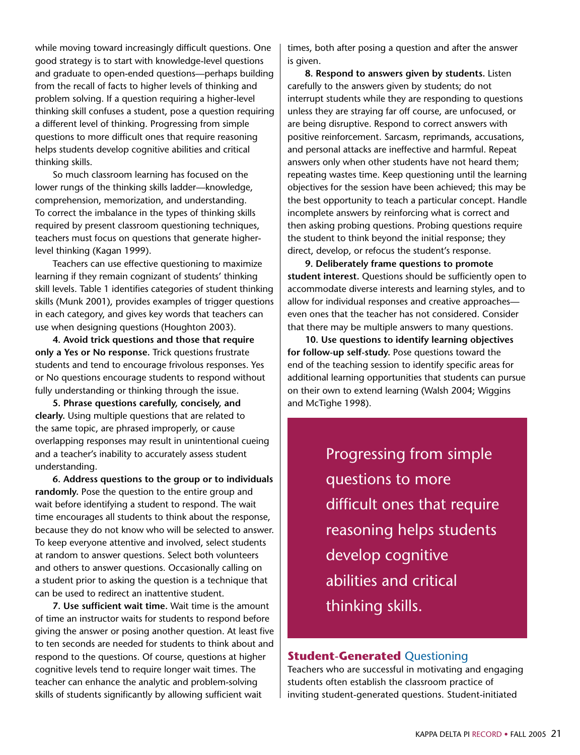while moving toward increasingly difficult questions. One good strategy is to start with knowledge-level questions and graduate to open-ended questions—perhaps building from the recall of facts to higher levels of thinking and problem solving. If a question requiring a higher-level thinking skill confuses a student, pose a question requiring a different level of thinking. Progressing from simple questions to more difficult ones that require reasoning helps students develop cognitive abilities and critical thinking skills.

So much classroom learning has focused on the lower rungs of the thinking skills ladder—knowledge, comprehension, memorization, and understanding. To correct the imbalance in the types of thinking skills required by present classroom questioning techniques, teachers must focus on questions that generate higherlevel thinking (Kagan 1999).

Teachers can use effective questioning to maximize learning if they remain cognizant of students' thinking skill levels. Table 1 identifies categories of student thinking skills (Munk 2001), provides examples of trigger questions in each category, and gives key words that teachers can use when designing questions (Houghton 2003).

**4. Avoid trick questions and those that require only a Yes or No response.** Trick questions frustrate students and tend to encourage frivolous responses. Yes or No questions encourage students to respond without fully understanding or thinking through the issue.

**5. Phrase questions carefully, concisely, and clearly.** Using multiple questions that are related to the same topic, are phrased improperly, or cause overlapping responses may result in unintentional cueing and a teacher's inability to accurately assess student understanding.

**6. Address questions to the group or to individuals randomly.** Pose the question to the entire group and wait before identifying a student to respond. The wait time encourages all students to think about the response, because they do not know who will be selected to answer. To keep everyone attentive and involved, select students at random to answer questions. Select both volunteers and others to answer questions. Occasionally calling on a student prior to asking the question is a technique that can be used to redirect an inattentive student.

**7. Use sufficient wait time.** Wait time is the amount of time an instructor waits for students to respond before giving the answer or posing another question. At least five to ten seconds are needed for students to think about and respond to the questions. Of course, questions at higher cognitive levels tend to require longer wait times. The teacher can enhance the analytic and problem-solving skills of students significantly by allowing sufficient wait

times, both after posing a question and after the answer is given.

**8. Respond to answers given by students.** Listen carefully to the answers given by students; do not interrupt students while they are responding to questions unless they are straying far off course, are unfocused, or are being disruptive. Respond to correct answers with positive reinforcement. Sarcasm, reprimands, accusations, and personal attacks are ineffective and harmful. Repeat answers only when other students have not heard them; repeating wastes time. Keep questioning until the learning objectives for the session have been achieved; this may be the best opportunity to teach a particular concept. Handle incomplete answers by reinforcing what is correct and then asking probing questions. Probing questions require the student to think beyond the initial response; they direct, develop, or refocus the student's response.

**9. Deliberately frame questions to promote student interest.** Questions should be sufficiently open to accommodate diverse interests and learning styles, and to allow for individual responses and creative approaches even ones that the teacher has not considered. Consider that there may be multiple answers to many questions.

**10. Use questions to identify learning objectives for follow-up self-study.** Pose questions toward the end of the teaching session to identify specific areas for additional learning opportunities that students can pursue on their own to extend learning (Walsh 2004; Wiggins and McTighe 1998).

> Progressing from simple questions to more difficult ones that require reasoning helps students develop cognitive abilities and critical thinking skills.

#### **Student-Generated Questioning**

Teachers who are successful in motivating and engaging students often establish the classroom practice of inviting student-generated questions. Student-initiated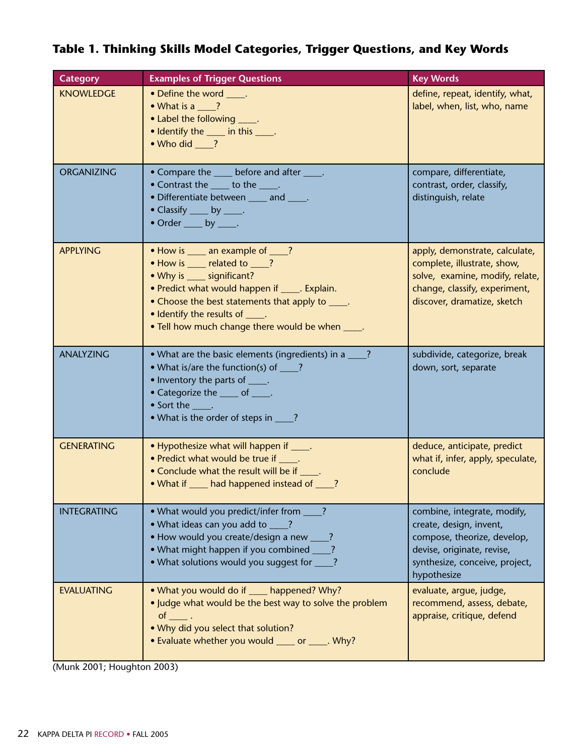| <b>Category</b>    | <b>Examples of Trigger Questions</b>                                                                                                                                                                                                                                                            | <b>Key Words</b>                                                                                                                                                     |
|--------------------|-------------------------------------------------------------------------------------------------------------------------------------------------------------------------------------------------------------------------------------------------------------------------------------------------|----------------------------------------------------------------------------------------------------------------------------------------------------------------------|
| <b>KNOWLEDGE</b>   | • Define the word _____.<br>$\bullet$ What is a ___?<br>• Label the following _____.<br>• Identify the ____ in this _____.<br>$•$ Who did ___?                                                                                                                                                  | define, repeat, identify, what,<br>label, when, list, who, name                                                                                                      |
| <b>ORGANIZING</b>  | • Compare the ____ before and after ____.<br>• Contrast the <u>same</u> to the same.<br>• Differentiate between ____ and ____.<br>$\bullet$ Classify $\rule{1em}{0.15mm}$ by $\rule{1.5mm}{0.15mm}$ .<br>$\bullet$ Order $\_\_\_$ by $\_\_\_$ .                                                 | compare, differentiate,<br>contrast, order, classify,<br>distinguish, relate                                                                                         |
| <b>APPLYING</b>    | • How is ____ an example of ___?<br>• How is ____ related to ____?<br>• Why is _____ significant?<br>• Predict what would happen if _____. Explain.<br>• Choose the best statements that apply to ____.<br>• Identify the results of ____.<br>. Tell how much change there would be when _____. | apply, demonstrate, calculate,<br>complete, illustrate, show,<br>solve, examine, modify, relate,<br>change, classify, experiment,<br>discover, dramatize, sketch     |
| <b>ANALYZING</b>   | • What are the basic elements (ingredients) in a ___?<br>• What is/are the function(s) of ___?<br>• Inventory the parts of _____.<br>• Categorize the ____ of ____.<br>$\bullet$ Sort the $\_\_\_\_\$ .<br>• What is the order of steps in ___?                                                 | subdivide, categorize, break<br>down, sort, separate                                                                                                                 |
| <b>GENERATING</b>  | . Hypothesize what will happen if ____.<br>• Predict what would be true if ____.<br>• Conclude what the result will be if ____.<br>• What if ____ had happened instead of ___?                                                                                                                  | deduce, anticipate, predict<br>what if, infer, apply, speculate,<br>conclude                                                                                         |
| <b>INTEGRATING</b> | • What would you predict/infer from ___?<br>• What ideas can you add to ___?<br>. How would you create/design a new __<br>• What might happen if you combined<br>. What solutions would you suggest for ____                                                                                    | combine, integrate, modify,<br>create, design, invent,<br>compose, theorize, develop,<br>devise, originate, revise,<br>synthesize, conceive, project,<br>hypothesize |
| <b>EVALUATING</b>  | . What you would do if ___ happened? Why?<br>. Judge what would be the best way to solve the problem<br>of $\_\_$ .<br>. Why did you select that solution?<br>• Evaluate whether you would ____ or ____. Why?                                                                                   | evaluate, argue, judge,<br>recommend, assess, debate,<br>appraise, critique, defend                                                                                  |

## **Table 1. Thinking Skills Model Categories, Trigger Questions, and Key Words**

(Munk 2001; Houghton 2003)